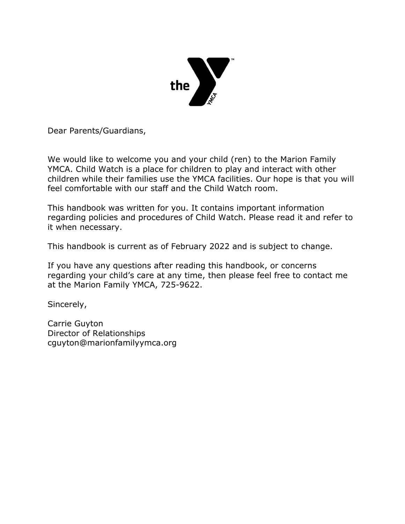

Dear Parents/Guardians,

We would like to welcome you and your child (ren) to the Marion Family YMCA. Child Watch is a place for children to play and interact with other children while their families use the YMCA facilities. Our hope is that you will feel comfortable with our staff and the Child Watch room.

This handbook was written for you. It contains important information regarding policies and procedures of Child Watch. Please read it and refer to it when necessary.

This handbook is current as of February 2022 and is subject to change.

If you have any questions after reading this handbook, or concerns regarding your child's care at any time, then please feel free to contact me at the Marion Family YMCA, 725-9622.

Sincerely,

Carrie Guyton Director of Relationships cguyton@marionfamilyymca.org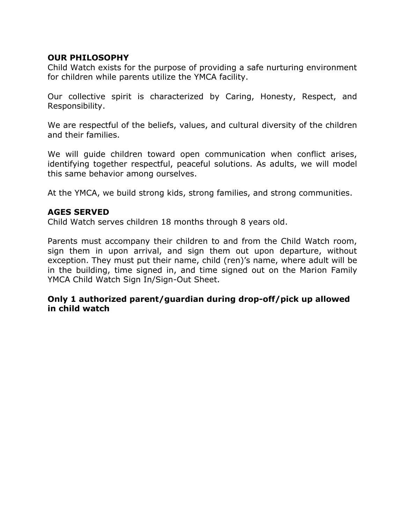### **OUR PHILOSOPHY**

Child Watch exists for the purpose of providing a safe nurturing environment for children while parents utilize the YMCA facility.

Our collective spirit is characterized by Caring, Honesty, Respect, and Responsibility.

We are respectful of the beliefs, values, and cultural diversity of the children and their families.

We will guide children toward open communication when conflict arises, identifying together respectful, peaceful solutions. As adults, we will model this same behavior among ourselves.

At the YMCA, we build strong kids, strong families, and strong communities.

#### **AGES SERVED**

Child Watch serves children 18 months through 8 years old.

Parents must accompany their children to and from the Child Watch room, sign them in upon arrival, and sign them out upon departure, without exception. They must put their name, child (ren)'s name, where adult will be in the building, time signed in, and time signed out on the Marion Family YMCA Child Watch Sign In/Sign-Out Sheet.

### **Only 1 authorized parent/guardian during drop-off/pick up allowed in child watch**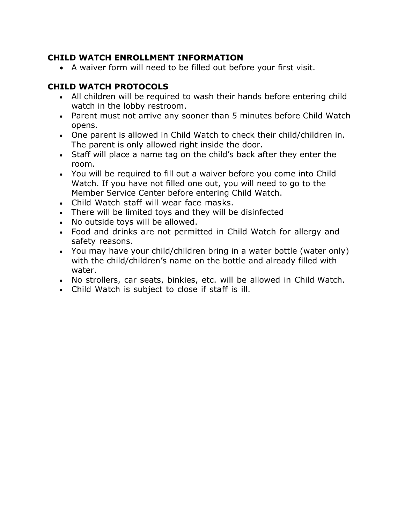# **CHILD WATCH ENROLLMENT INFORMATION**

• A waiver form will need to be filled out before your first visit.

# **CHILD WATCH PROTOCOLS**

- All children will be required to wash their hands before entering child watch in the lobby restroom.
- Parent must not arrive any sooner than 5 minutes before Child Watch opens.
- One parent is allowed in Child Watch to check their child/children in. The parent is only allowed right inside the door.
- Staff will place a name tag on the child's back after they enter the room.
- You will be required to fill out a waiver before you come into Child Watch. If you have not filled one out, you will need to go to the Member Service Center before entering Child Watch.
- Child Watch staff will wear face masks.
- There will be limited toys and they will be disinfected
- No outside toys will be allowed.
- Food and drinks are not permitted in Child Watch for allergy and safety reasons.
- You may have your child/children bring in a water bottle (water only) with the child/children's name on the bottle and already filled with water.
- No strollers, car seats, binkies, etc. will be allowed in Child Watch.
- Child Watch is subject to close if staff is ill.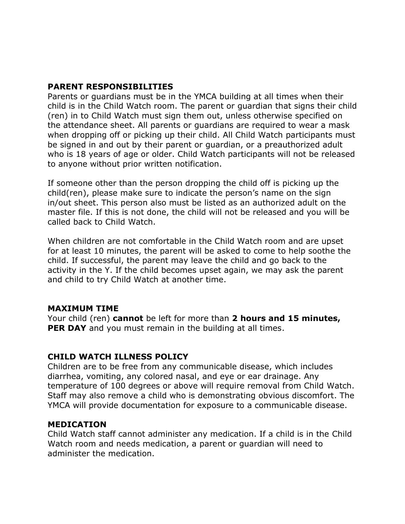### **PARENT RESPONSIBILITIES**

Parents or guardians must be in the YMCA building at all times when their child is in the Child Watch room. The parent or guardian that signs their child (ren) in to Child Watch must sign them out, unless otherwise specified on the attendance sheet. All parents or guardians are required to wear a mask when dropping off or picking up their child. All Child Watch participants must be signed in and out by their parent or guardian, or a preauthorized adult who is 18 years of age or older. Child Watch participants will not be released to anyone without prior written notification.

If someone other than the person dropping the child off is picking up the child(ren), please make sure to indicate the person's name on the sign in/out sheet. This person also must be listed as an authorized adult on the master file. If this is not done, the child will not be released and you will be called back to Child Watch.

When children are not comfortable in the Child Watch room and are upset for at least 10 minutes, the parent will be asked to come to help soothe the child. If successful, the parent may leave the child and go back to the activity in the Y. If the child becomes upset again, we may ask the parent and child to try Child Watch at another time.

### **MAXIMUM TIME**

Your child (ren) **cannot** be left for more than **2 hours and 15 minutes, PER DAY** and you must remain in the building at all times.

## **CHILD WATCH ILLNESS POLICY**

Children are to be free from any communicable disease, which includes diarrhea, vomiting, any colored nasal, and eye or ear drainage. Any temperature of 100 degrees or above will require removal from Child Watch. Staff may also remove a child who is demonstrating obvious discomfort. The YMCA will provide documentation for exposure to a communicable disease.

## **MEDICATION**

Child Watch staff cannot administer any medication. If a child is in the Child Watch room and needs medication, a parent or guardian will need to administer the medication.